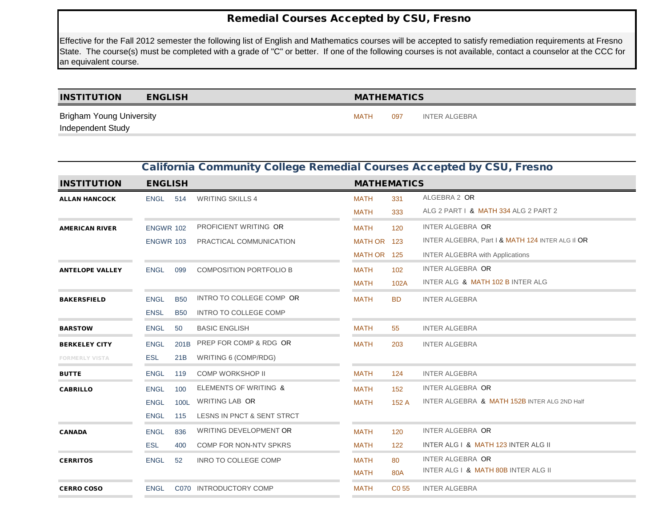## Remedial Courses Accepted by CSU, Fresno

Effective for the Fall 2012 semester the following list of English and Mathematics courses will be accepted to satisfy remediation requirements at Fresno State. The course(s) must be completed with a grade of "C" or better. If one of the following courses is not available, contact a counselor at the CCC for an equivalent course.

| <b>INSTITUTION</b>              | <b>ENGLISH</b> | <b>MATHEMATICS</b> |     |               |
|---------------------------------|----------------|--------------------|-----|---------------|
| <b>Brigham Young University</b> |                | <b>MATH</b>        | 097 | INTER ALGEBRA |
| Independent Study               |                |                    |     |               |

|                        |                  | <b>California Community College Remedial Courses Accepted by CSU, Fresno</b> |                                |             |                    |                                                         |  |  |  |  |  |
|------------------------|------------------|------------------------------------------------------------------------------|--------------------------------|-------------|--------------------|---------------------------------------------------------|--|--|--|--|--|
| <b>INSTITUTION</b>     | <b>ENGLISH</b>   |                                                                              |                                |             | <b>MATHEMATICS</b> |                                                         |  |  |  |  |  |
| <b>ALLAN HANCOCK</b>   | <b>ENGL</b>      | 514                                                                          | <b>WRITING SKILLS 4</b>        | <b>MATH</b> | 331                | ALGEBRA 2 OR                                            |  |  |  |  |  |
|                        |                  |                                                                              |                                | <b>MATH</b> | 333                | ALG 2 PART   & MATH 334 ALG 2 PART 2                    |  |  |  |  |  |
| <b>AMERICAN RIVER</b>  | <b>ENGWR 102</b> |                                                                              | PROFICIENT WRITING OR          | <b>MATH</b> | 120                | INTER ALGEBRA OR                                        |  |  |  |  |  |
|                        | ENGWR 103        |                                                                              | PRACTICAL COMMUNICATION        | MATH OR 123 |                    | INTER ALGEBRA, Part I & MATH 124 INTER ALG II OR        |  |  |  |  |  |
|                        |                  |                                                                              |                                | MATH OR 125 |                    | <b>INTER ALGEBRA with Applications</b>                  |  |  |  |  |  |
| <b>ANTELOPE VALLEY</b> | <b>ENGL</b>      | 099                                                                          | <b>COMPOSITION PORTFOLIO B</b> | <b>MATH</b> | 102                | INTER ALGEBRA OR                                        |  |  |  |  |  |
|                        |                  |                                                                              |                                | <b>MATH</b> | 102A               | INTER ALG & MATH 102 B INTER ALG                        |  |  |  |  |  |
| <b>BAKERSFIELD</b>     | <b>ENGL</b>      | <b>B50</b>                                                                   | INTRO TO COLLEGE COMP OR       | <b>MATH</b> | <b>BD</b>          | <b>INTER ALGEBRA</b>                                    |  |  |  |  |  |
|                        | <b>ENSL</b>      | <b>B50</b>                                                                   | <b>INTRO TO COLLEGE COMP</b>   |             |                    |                                                         |  |  |  |  |  |
| <b>BARSTOW</b>         | <b>ENGL</b>      | 50                                                                           | <b>BASIC ENGLISH</b>           | <b>MATH</b> | 55                 | <b>INTER ALGEBRA</b>                                    |  |  |  |  |  |
| <b>BERKELEY CITY</b>   | <b>ENGL</b>      | 201B                                                                         | PREP FOR COMP & RDG OR         | <b>MATH</b> | 203                | <b>INTER ALGEBRA</b>                                    |  |  |  |  |  |
| <b>FORMERLY VISTA</b>  | <b>ESL</b>       | 21B                                                                          | WRITING 6 (COMP/RDG)           |             |                    |                                                         |  |  |  |  |  |
| <b>BUTTE</b>           | <b>ENGL</b>      | 119                                                                          | <b>COMP WORKSHOP II</b>        | <b>MATH</b> | 124                | <b>INTER ALGEBRA</b>                                    |  |  |  |  |  |
| <b>CABRILLO</b>        | <b>ENGL</b>      | 100                                                                          | ELEMENTS OF WRITING &          | <b>MATH</b> | 152                | INTER ALGEBRA OR                                        |  |  |  |  |  |
|                        | <b>ENGL</b>      | 100L                                                                         | WRITING LAB OR                 | <b>MATH</b> | 152 A              | <b>INTER ALGEBRA &amp; MATH 152B INTER ALG 2ND Half</b> |  |  |  |  |  |
|                        | <b>ENGL</b>      | 115                                                                          | LESNS IN PNCT & SENT STRCT     |             |                    |                                                         |  |  |  |  |  |
| <b>CANADA</b>          | <b>ENGL</b>      | 836                                                                          | WRITING DEVELOPMENT OR         | <b>MATH</b> | 120                | <b>INTER ALGEBRA OR</b>                                 |  |  |  |  |  |
|                        | ESL              | 400                                                                          | COMP FOR NON-NTV SPKRS         | <b>MATH</b> | 122                | INTER ALG   & MATH 123 INTER ALG II                     |  |  |  |  |  |
| <b>CERRITOS</b>        | <b>ENGL</b>      | 52                                                                           | <b>INRO TO COLLEGE COMP</b>    | <b>MATH</b> | 80                 | <b>INTER ALGEBRA OR</b>                                 |  |  |  |  |  |
|                        |                  |                                                                              |                                | <b>MATH</b> | 80A                | INTER ALG   & MATH 80B INTER ALG II                     |  |  |  |  |  |
| <b>CERRO COSO</b>      | <b>ENGL</b>      |                                                                              | C070 INTRODUCTORY COMP         | <b>MATH</b> | C <sub>0</sub> 55  | <b>INTER ALGEBRA</b>                                    |  |  |  |  |  |
|                        |                  |                                                                              |                                |             |                    |                                                         |  |  |  |  |  |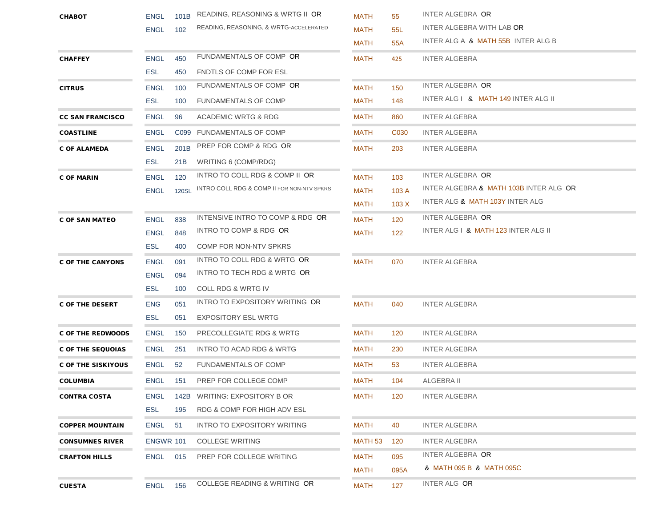| <b>CUESTA</b>            | <b>ENGL</b>                | 156         | COLLEGE READING & WRITING OR               | <b>MATH</b>         | 127              | INTER ALG OR                           |
|--------------------------|----------------------------|-------------|--------------------------------------------|---------------------|------------------|----------------------------------------|
|                          |                            |             |                                            | MATH                | 095A             | & MATH 095 B & MATH 095C               |
| <b>CRAFTON HILLS</b>     | <b>ENGL 015</b>            |             | PREP FOR COLLEGE WRITING                   | MATH                | 095              | <b>INTER ALGEBRA OR</b>                |
| <b>CONSUMNES RIVER</b>   | ENGWR 101                  |             | <b>COLLEGE WRITING</b>                     | MATH 53             | 120              | <b>INTER ALGEBRA</b>                   |
| <b>COPPER MOUNTAIN</b>   | <b>ENGL</b>                | 51          | INTRO TO EXPOSITORY WRITING                | MATH                | 40               | <b>INTER ALGEBRA</b>                   |
|                          | <b>ESL</b>                 | 195         | RDG & COMP FOR HIGH ADV ESL                |                     |                  |                                        |
| <b>CONTRA COSTA</b>      | <b>ENGL</b>                |             | 142B WRITING: EXPOSITORY B OR              | <b>MATH</b>         | 120              | <b>INTER ALGEBRA</b>                   |
| <b>COLUMBIA</b>          | ENGL                       | 151         | PREP FOR COLLEGE COMP                      | MATH                | 104              | ALGEBRA II                             |
| C OF THE SISKIYOUS       | <b>ENGL</b>                | 52          | <b>FUNDAMENTALS OF COMP</b>                | MATH                | 53               | <b>INTER ALGEBRA</b>                   |
| <b>C OF THE SEQUOIAS</b> | <b>ENGL</b>                | 251         | INTRO TO ACAD RDG & WRTG                   | MATH                | 230              | <b>INTER ALGEBRA</b>                   |
| <b>C OF THE REDWOODS</b> | <b>ENGL</b>                | 150         | PRECOLLEGIATE RDG & WRTG                   | MATH                | 120              | <b>INTER ALGEBRA</b>                   |
|                          | <b>ESL</b>                 | 051         | EXPOSITORY ESL WRTG                        |                     |                  |                                        |
| <b>C OF THE DESERT</b>   | <b>ENG</b>                 | 051         | INTRO TO EXPOSITORY WRITING OR             | MATH                | 040              | <b>INTER ALGEBRA</b>                   |
|                          | <b>ESL</b>                 | 100         | COLL RDG & WRTG IV                         |                     |                  |                                        |
|                          | <b>ENGL</b>                | 094         | INTRO TO TECH RDG & WRTG OR                |                     |                  |                                        |
| <b>C OF THE CANYONS</b>  | <b>ENGL</b>                | 091         | INTRO TO COLL RDG & WRTG OR                | MATH                | 070              | <b>INTER ALGEBRA</b>                   |
|                          | <b>ESL</b>                 | 400         | COMP FOR NON-NTV SPKRS                     |                     |                  |                                        |
|                          | <b>ENGL</b>                | 848         | INTRO TO COMP & RDG OR                     | MATH                | 122              | INTER ALG   & MATH 123 INTER ALG II    |
| <b>C OF SAN MATEO</b>    | <b>ENGL</b>                | 838         | INTENSIVE INTRO TO COMP & RDG OR           | MATH                | 120              | INTER ALGEBRA OR                       |
|                          |                            |             |                                            | MATH                | 103X             | INTER ALG & MATH 103Y INTER ALG        |
|                          | <b>ENGL</b>                | 120SL       | INTRO COLL RDG & COMP II FOR NON-NTV SPKRS | MATH                | 103 A            | INTER ALGEBRA & MATH 103B INTER ALG OR |
| <b>C OF MARIN</b>        | <b>ENGL</b>                | 120         | INTRO TO COLL RDG & COMP II OR             | <b>MATH</b>         | 103              | INTER ALGEBRA OR                       |
|                          | <b>ESL</b>                 | 21B         | WRITING 6 (COMP/RDG)                       |                     |                  |                                        |
| <b>C OF ALAMEDA</b>      | <b>ENGL</b>                | 201B        | PREP FOR COMP & RDG OR                     | <b>MATH</b>         | 203              | <b>INTER ALGEBRA</b>                   |
| <b>COASTLINE</b>         | <b>ENGL</b>                |             | C099 FUNDAMENTALS OF COMP                  | MATH                | C <sub>030</sub> | <b>INTER ALGEBRA</b>                   |
| <b>CC SAN FRANCISCO</b>  | <b>ENGL</b>                | 96          | ACADEMIC WRTG & RDG                        | MATH                | 860              | <b>INTER ALGEBRA</b>                   |
|                          | <b>ESL</b>                 | 100         | <b>FUNDAMENTALS OF COMP</b>                | MATH                | 148              | INTER ALG   & MATH 149 INTER ALG II    |
| <b>CITRUS</b>            | <b>ENGL</b>                | 100         | FUNDAMENTALS OF COMP OR                    | MATH                | 150              | INTER ALGEBRA OR                       |
|                          | <b>ESL</b>                 | 450         | <b>FNDTLS OF COMP FOR ESL</b>              |                     |                  |                                        |
| <b>CHAFFEY</b>           | <b>ENGL</b>                | 450         | FUNDAMENTALS OF COMP OR                    | <b>MATH</b>         | 425              | <b>INTER ALGEBRA</b>                   |
|                          |                            |             |                                            | <b>MATH</b>         | 55A              | INTER ALG A & MATH 55B INTER ALG B     |
| <b>CHABOT</b>            | <b>ENGL</b><br><b>ENGL</b> | 101B<br>102 | READING, REASONING, & WRTG-ACCELERATED     | <b>MATH</b><br>MATH | 55<br>55L        | INTER ALGEBRA WITH LAB OR              |
|                          |                            |             | READING, REASONING & WRTG II OR            |                     |                  | INTER ALGEBRA OR                       |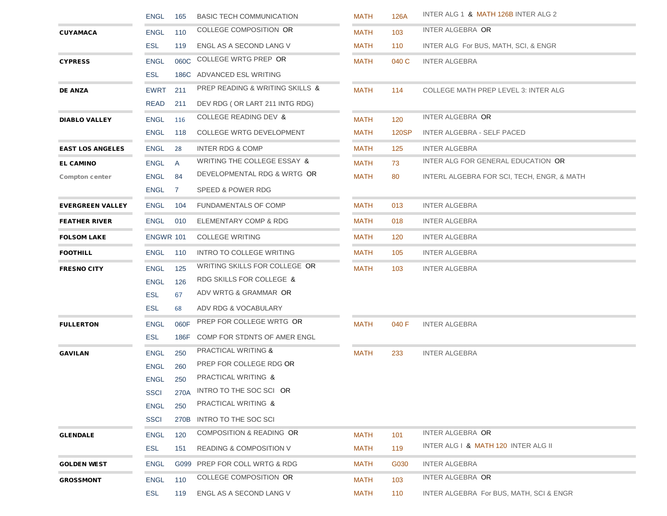|                         | <b>ENGL</b> | 165  | <b>BASIC TECH COMMUNICATION</b>    | MATH        | 126A  | INTER ALG 1 & MATH 126B INTER ALG 2         |
|-------------------------|-------------|------|------------------------------------|-------------|-------|---------------------------------------------|
| <b>CUYAMACA</b>         | <b>ENGL</b> | 110  | <b>COLLEGE COMPOSITION OR</b>      | MATH        | 103   | INTER ALGEBRA OR                            |
|                         | <b>ESL</b>  | 119  | ENGL AS A SECOND LANG V            | MATH        | 110   | INTER ALG For BUS, MATH, SCI, & ENGR        |
| <b>CYPRESS</b>          | <b>ENGL</b> | 060C | COLLEGE WRTG PREP OR               | <b>MATH</b> | 040 C | <b>INTER ALGEBRA</b>                        |
|                         | <b>ESL</b>  | 186C | ADVANCED ESL WRITING               |             |       |                                             |
| <b>DE ANZA</b>          | <b>EWRT</b> | 211  | PREP READING & WRITING SKILLS &    | MATH        | 114   | <b>COLLEGE MATH PREP LEVEL 3: INTER ALG</b> |
|                         | <b>READ</b> | 211  | DEV RDG (OR LART 211 INTG RDG)     |             |       |                                             |
| <b>DIABLO VALLEY</b>    | <b>ENGL</b> | 116  | <b>COLLEGE READING DEV &amp;</b>   | MATH        | 120   | INTER ALGEBRA OR                            |
|                         | ENGL        | 118  | <b>COLLEGE WRTG DEVELOPMENT</b>    | MATH        | 120SP | INTER ALGEBRA - SELF PACED                  |
| <b>EAST LOS ANGELES</b> | ENGL        | 28   | INTER RDG & COMP                   | MATH        | 125   | <b>INTER ALGEBRA</b>                        |
| <b>EL CAMINO</b>        | <b>ENGL</b> | A    | WRITING THE COLLEGE ESSAY &        | <b>MATH</b> | 73    | INTER ALG FOR GENERAL EDUCATION OR          |
| <b>Compton center</b>   | <b>ENGL</b> | 84   | DEVELOPMENTAL RDG & WRTG OR        | <b>MATH</b> | 80    | INTERL ALGEBRA FOR SCI, TECH, ENGR, & MATH  |
|                         | ENGL        | 7    | SPEED & POWER RDG                  |             |       |                                             |
| <b>EVERGREEN VALLEY</b> | <b>ENGL</b> | 104  | <b>FUNDAMENTALS OF COMP</b>        | MATH        | 013   | <b>INTER ALGEBRA</b>                        |
| <b>FEATHER RIVER</b>    | ENGL        | 010  | ELEMENTARY COMP & RDG              | MATH        | 018   | <b>INTER ALGEBRA</b>                        |
| <b>FOLSOM LAKE</b>      | ENGWR 101   |      | <b>COLLEGE WRITING</b>             | MATH        | 120   | <b>INTER ALGEBRA</b>                        |
| <b>FOOTHILL</b>         | ENGL        | 110  | INTRO TO COLLEGE WRITING           | <b>MATH</b> | 105   | <b>INTER ALGEBRA</b>                        |
| <b>FRESNO CITY</b>      | <b>ENGL</b> | 125  | WRITING SKILLS FOR COLLEGE OR      | <b>MATH</b> | 103   | <b>INTER ALGEBRA</b>                        |
|                         | <b>ENGL</b> | 126  | RDG SKILLS FOR COLLEGE &           |             |       |                                             |
|                         | <b>ESL</b>  | 67   | ADV WRTG & GRAMMAR OR              |             |       |                                             |
|                         | <b>ESL</b>  | 68   | ADV RDG & VOCABULARY               |             |       |                                             |
| <b>FULLERTON</b>        | <b>ENGL</b> | 060F | PREP FOR COLLEGE WRTG OR           | <b>MATH</b> | 040 F | <b>INTER ALGEBRA</b>                        |
|                         | <b>ESL</b>  | 186F | COMP FOR STDNTS OF AMER ENGL       |             |       |                                             |
| <b>GAVILAN</b>          | <b>ENGL</b> | 250  | PRACTICAL WRITING &                | MATH        | 233   | <b>INTER ALGEBRA</b>                        |
|                         | <b>ENGL</b> | 260  | PREP FOR COLLEGE RDG OR            |             |       |                                             |
|                         | <b>ENGL</b> | 250  | PRACTICAL WRITING &                |             |       |                                             |
|                         | <b>SSCI</b> | 270A | INTRO TO THE SOC SCI OR            |             |       |                                             |
|                         | <b>ENGL</b> | 250  | PRACTICAL WRITING &                |             |       |                                             |
|                         | <b>SSCI</b> | 270B | INTRO TO THE SOC SCI               |             |       |                                             |
| <b>GLENDALE</b>         | <b>ENGL</b> | 120  | COMPOSITION & READING OR           | <b>MATH</b> | 101   | INTER ALGEBRA OR                            |
|                         | <b>ESL</b>  | 151  | <b>READING &amp; COMPOSITION V</b> | <b>MATH</b> | 119   | INTER ALG   & MATH 120 INTER ALG II         |
| <b>GOLDEN WEST</b>      | <b>ENGL</b> | G099 | PREP FOR COLL WRTG & RDG           | MATH        | G030  | <b>INTER ALGEBRA</b>                        |
| <b>GROSSMONT</b>        | <b>ENGL</b> | 110  | <b>COLLEGE COMPOSITION OR</b>      | <b>MATH</b> | 103   | INTER ALGEBRA OR                            |
|                         | <b>ESL</b>  | 119  | ENGL AS A SECOND LANG V            | <b>MATH</b> | 110   | INTER ALGEBRA For BUS, MATH, SCI & ENGR     |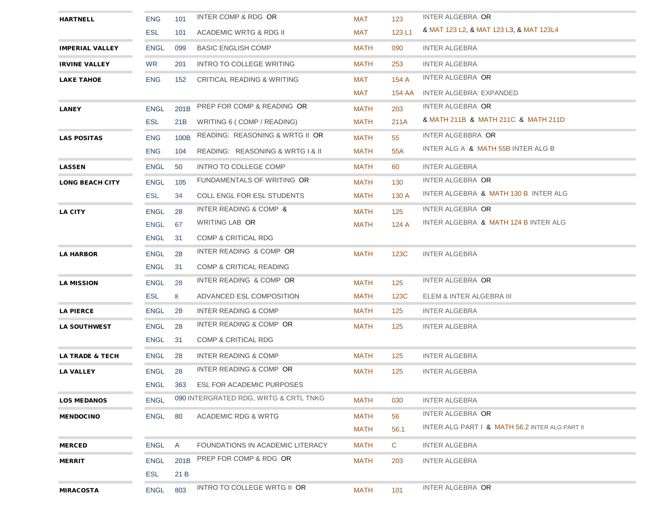| <b>HARTNELL</b>            | <b>ENG</b>  | 101  | INTER COMP & RDG OR                   | MAT         | 123    | INTER ALGEBRA OR                               |
|----------------------------|-------------|------|---------------------------------------|-------------|--------|------------------------------------------------|
|                            | <b>ESL</b>  | 101  | ACADEMIC WRTG & RDG II                | MAT         | 123 L1 | & MAT 123 L2, & MAT 123 L3, & MAT 123L4        |
| <b>IMPERIAL VALLEY</b>     | <b>ENGL</b> | 099  | <b>BASIC ENGLISH COMP</b>             | MATH        | 090    | <b>INTER ALGEBRA</b>                           |
| <b>IRVINE VALLEY</b>       | <b>WR</b>   | 201  | INTRO TO COLLEGE WRITING              | MATH        | 253    | <b>INTER ALGEBRA</b>                           |
| <b>LAKE TAHOE</b>          | <b>ENG</b>  | 152  | CRITICAL READING & WRITING            | MAT         | 154 A  | INTER ALGEBRA OR                               |
|                            |             |      |                                       | MAT         |        | 154 AA INTER ALGEBRA: EXPANDED                 |
| <b>LANEY</b>               | <b>ENGL</b> | 201B | PREP FOR COMP & READING OR            | MATH        | 203    | INTER ALGEBRA OR                               |
|                            | <b>ESL</b>  | 21B  | WRITING 6 (COMP / READING)            | MATH        | 211A   | & MATH 211B & MATH 211C & MATH 211D            |
| <b>LAS POSITAS</b>         | <b>ENG</b>  | 100B | READING: REASONING & WRTG II OR       | <b>MATH</b> | 55     | INTER ALGEBBRA OR                              |
|                            | <b>ENG</b>  | 104  | READING: REASONING & WRTG I & II      | MATH        | 55A    | INTER ALG A & MATH 55B INTER ALG B             |
| <b>LASSEN</b>              | <b>ENGL</b> | 50   | INTRO TO COLLEGE COMP                 | MATH        | 60     | <b>INTER ALGEBRA</b>                           |
| <b>LONG BEACH CITY</b>     | <b>ENGL</b> | 105  | FUNDAMENTALS OF WRITING OR            | MATH        | 130    | INTER ALGEBRA OR                               |
|                            | <b>ESL</b>  | 34   | <b>COLL ENGL FOR ESL STUDENTS</b>     | MATH        | 130 A  | INTER ALGEBRA & MATH 130 B INTER ALG           |
| <b>LA CITY</b>             | <b>ENGL</b> | 28   | INTER READING & COMP &                | MATH        | 125    | INTER ALGEBRA OR                               |
|                            | ENGL        | 67   | WRITING LAB OR                        | MATH        | 124 A  | INTER ALGEBRA & MATH 124 B INTER ALG           |
|                            | <b>ENGL</b> | 31   | COMP & CRITICAL RDG                   |             |        |                                                |
| <b>LA HARBOR</b>           | <b>ENGL</b> | 28   | INTER READING & COMP OR               | MATH        | 123C   | <b>INTER ALGEBRA</b>                           |
|                            | <b>ENGL</b> | 31   | <b>COMP &amp; CRITICAL READING</b>    |             |        |                                                |
| <b>LA MISSION</b>          | <b>ENGL</b> | 28   | INTER READING & COMP OR               | MATH        | 125    | INTER ALGEBRA OR                               |
|                            | <b>ESL</b>  | 8    | ADVANCED ESL COMPOSITION              | MATH        | 123C   | ELEM & INTER ALGEBRA III                       |
| <b>LA PIERCE</b>           | <b>ENGL</b> | 28   | INTER READING & COMP                  | MATH        | 125    | <b>INTER ALGEBRA</b>                           |
| <b>LA SOUTHWEST</b>        | <b>ENGL</b> | 28   | INTER READING & COMP OR               | MATH        | 125    | <b>INTER ALGEBRA</b>                           |
|                            | <b>ENGL</b> | 31   | COMP & CRITICAL RDG                   |             |        |                                                |
| <b>LA TRADE &amp; TECH</b> | ENGL        | 28   | INTER READING & COMP                  | MATH        | 125    | <b>INTER ALGEBRA</b>                           |
| <b>LA VALLEY</b>           | ENGL        | 28   | INTER READING & COMP OR               | MATH        | 125    | <b>INTER ALGEBRA</b>                           |
|                            |             |      | ENGL 363 ESL FOR ACADEMIC PURPOSES    |             |        |                                                |
| <b>LOS MEDANOS</b>         | <b>ENGL</b> |      | 090 INTERGRATED RDG, WRTG & CRTL TNKG | <b>MATH</b> | 030    | <b>INTER ALGEBRA</b>                           |
| <b>MENDOCINO</b>           | <b>ENGL</b> | 80   | ACADEMIC RDG & WRTG                   | <b>MATH</b> | 56     | INTER ALGEBRA OR                               |
|                            |             |      |                                       | <b>MATH</b> | 56.1   | INTER ALG PART   & MATH 56.2 INTER ALG PART II |
| <b>MERCED</b>              | <b>ENGL</b> | A    | FOUNDATIONS IN ACADEMIC LITERACY      | <b>MATH</b> | C      | <b>INTER ALGEBRA</b>                           |
| <b>MERRIT</b>              | <b>ENGL</b> | 201B | PREP FOR COMP & RDG OR                | <b>MATH</b> | 203    | <b>INTER ALGEBRA</b>                           |
|                            | <b>ESL</b>  | 21 B |                                       |             |        |                                                |
| <b>MIRACOSTA</b>           | <b>ENGL</b> | 803  | <b>INTRO TO COLLEGE WRTG II OR</b>    | <b>MATH</b> | 101    | INTER ALGEBRA OR                               |
|                            |             |      |                                       |             |        |                                                |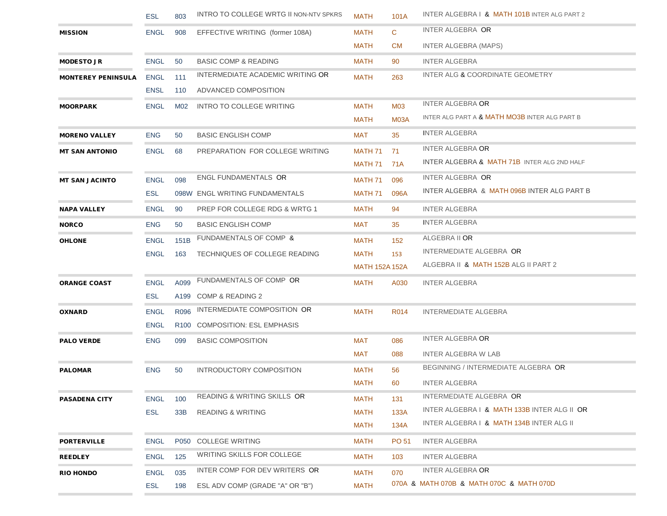|                           | <b>ESL</b>  | 803  | <b>INTRO TO COLLEGE WRTG II NON-NTV SPKRS</b> | <b>MATH</b>           | 101A         | INTER ALGEBRA   & MATH 101B INTER ALG PART 2           |
|---------------------------|-------------|------|-----------------------------------------------|-----------------------|--------------|--------------------------------------------------------|
| <b>MISSION</b>            | ENGL        | 908  | EFFECTIVE WRITING (former 108A)               | <b>MATH</b>           | $\mathbf{C}$ | INTER ALGEBRA OR                                       |
|                           |             |      |                                               | <b>MATH</b>           | <b>CM</b>    | <b>INTER ALGEBRA (MAPS)</b>                            |
| <b>MODESTO JR</b>         | <b>ENGL</b> | 50   | <b>BASIC COMP &amp; READING</b>               | <b>MATH</b>           | 90           | <b>INTER ALGEBRA</b>                                   |
| <b>MONTEREY PENINSULA</b> | <b>ENGL</b> | 111  | INTERMEDIATE ACADEMIC WRITING OR              | <b>MATH</b>           | 263          | INTER ALG & COORDINATE GEOMETRY                        |
|                           | <b>ENSL</b> | 110  | ADVANCED COMPOSITION                          |                       |              |                                                        |
| <b>MOORPARK</b>           | <b>ENGL</b> | M02  | INTRO TO COLLEGE WRITING                      | <b>MATH</b>           | M03          | <b>INTER ALGEBRA OR</b>                                |
|                           |             |      |                                               | <b>MATH</b>           | M03A         | INTER ALG PART A & MATH MO3B INTER ALG PART B          |
| <b>MORENO VALLEY</b>      | <b>ENG</b>  | 50   | <b>BASIC ENGLISH COMP</b>                     | MAT                   | 35           | <b>INTER ALGEBRA</b>                                   |
| <b>MT SAN ANTONIO</b>     | <b>ENGL</b> | 68   | PREPARATION FOR COLLEGE WRITING               | MATH 71               | 71           | <b>INTER ALGEBRA OR</b>                                |
|                           |             |      |                                               | MATH 71               | 71A          | <b>INTER ALGEBRA &amp; MATH 71B INTER ALG 2ND HALF</b> |
| <b>MT SAN JACINTO</b>     | <b>ENGL</b> | 098  | <b>ENGL FUNDAMENTALS OR</b>                   | MATH 71               | 096          | INTER ALGEBRA OR                                       |
|                           | <b>ESL</b>  |      | 098W ENGL WRITING FUNDAMENTALS                | MATH 71               | 096A         | INTER ALGEBRA & MATH 096B INTER ALG PART B             |
| <b>NAPA VALLEY</b>        | <b>ENGL</b> | 90   | PREP FOR COLLEGE RDG & WRTG 1                 | <b>MATH</b>           | 94           | <b>INTER ALGEBRA</b>                                   |
| <b>NORCO</b>              | <b>ENG</b>  | 50   | <b>BASIC ENGLISH COMP</b>                     | MAT                   | 35           | <b>INTER ALGEBRA</b>                                   |
| <b>OHLONE</b>             | <b>ENGL</b> | 151B | FUNDAMENTALS OF COMP &                        | <b>MATH</b>           | 152          | ALGEBRA II OR                                          |
|                           | <b>ENGL</b> | 163  | TECHNIQUES OF COLLEGE READING                 | MATH                  | 153          | INTERMEDIATE ALGEBRA OR                                |
|                           |             |      |                                               | <b>MATH 152A 152A</b> |              | ALGEBRA II & MATH 152B ALG II PART 2                   |
| <b>ORANGE COAST</b>       | <b>ENGL</b> | A099 | FUNDAMENTALS OF COMP OR                       | <b>MATH</b>           | A030         | <b>INTER ALGEBRA</b>                                   |
|                           | <b>ESL</b>  |      | A199 COMP & READING 2                         |                       |              |                                                        |
| <b>OXNARD</b>             | <b>ENGL</b> | R096 | INTERMEDIATE COMPOSITION OR                   | <b>MATH</b>           | R014         | INTERMEDIATE ALGEBRA                                   |
|                           | <b>ENGL</b> |      | R100 COMPOSITION: ESL EMPHASIS                |                       |              |                                                        |
| <b>PALO VERDE</b>         | <b>ENG</b>  | 099  | <b>BASIC COMPOSITION</b>                      | MAT                   | 086          | <b>INTER ALGEBRA OR</b>                                |
|                           |             |      |                                               | MAT                   | 088          | <b>INTER ALGEBRA W LAB</b>                             |
| <b>PALOMAR</b>            | <b>ENG</b>  | 50   | INTRODUCTORY COMPOSITION                      | <b>MATH</b>           | 56           | BEGINNING / INTERMEDIATE ALGEBRA OR                    |
|                           |             |      |                                               | <b>MATH</b>           | 60           | <b>INTER ALGEBRA</b>                                   |
| <b>PASADENA CITY</b>      | <b>ENGL</b> | 100  | READING & WRITING SKILLS OR                   | <b>MATH</b>           | 131          | INTERMEDIATE ALGEBRA OR                                |
|                           | ESL         | 33B  | <b>READING &amp; WRITING</b>                  | <b>MATH</b>           | 133A         | INTER ALGEBRA I & MATH 133B INTER ALG II OR            |
|                           |             |      |                                               | <b>MATH</b>           | 134A         | INTER ALGEBRA   & MATH 134B INTER ALG II               |
| <b>PORTERVILLE</b>        | <b>ENGL</b> |      | P050 COLLEGE WRITING                          | <b>MATH</b>           | PO 51        | <b>INTER ALGEBRA</b>                                   |
| <b>REEDLEY</b>            | <b>ENGL</b> | 125  | <b>WRITING SKILLS FOR COLLEGE</b>             | <b>MATH</b>           | 103          | <b>INTER ALGEBRA</b>                                   |
| <b>RIO HONDO</b>          | <b>ENGL</b> | 035  | INTER COMP FOR DEV WRITERS OR                 | <b>MATH</b>           | 070          | <b>INTER ALGEBRA OR</b>                                |
|                           | <b>ESL</b>  | 198  | ESL ADV COMP (GRADE "A" OR "B")               | <b>MATH</b>           |              | 070A & MATH 070B & MATH 070C & MATH 070D               |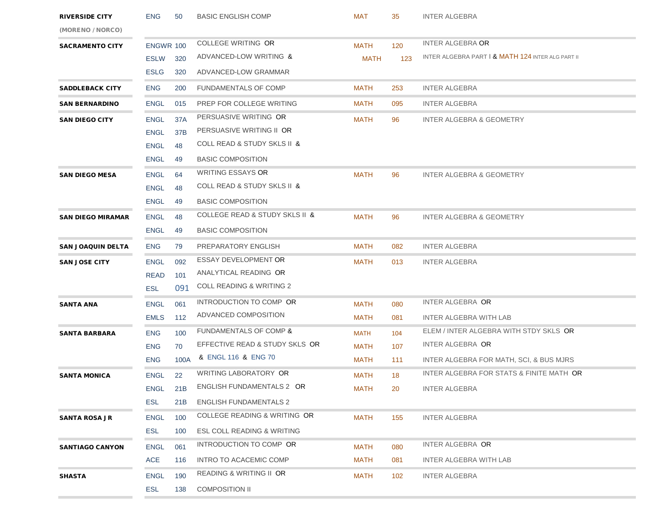| <b>RIVERSIDE CITY</b>    | <b>ENG</b>       | 50              | <b>BASIC ENGLISH COMP</b>                     | <b>MAT</b>  | 35  | <b>INTER ALGEBRA</b>                              |
|--------------------------|------------------|-----------------|-----------------------------------------------|-------------|-----|---------------------------------------------------|
| (MORENO / NORCO)         |                  |                 |                                               |             |     |                                                   |
| <b>SACRAMENTO CITY</b>   | <b>ENGWR 100</b> |                 | <b>COLLEGE WRITING OR</b>                     | <b>MATH</b> | 120 | <b>INTER ALGEBRA OR</b>                           |
|                          | <b>ESLW</b>      | 320             | ADVANCED-LOW WRITING &                        | <b>MATH</b> | 123 | INTER ALGEBRA PART   & MATH 124 INTER ALG PART II |
|                          | <b>ESLG</b>      | 320             | ADVANCED-LOW GRAMMAR                          |             |     |                                                   |
| <b>SADDLEBACK CITY</b>   | <b>ENG</b>       | 200             | <b>FUNDAMENTALS OF COMP</b>                   | <b>MATH</b> | 253 | <b>INTER ALGEBRA</b>                              |
| <b>SAN BERNARDINO</b>    | <b>ENGL</b>      | 015             | PREP FOR COLLEGE WRITING                      | <b>MATH</b> | 095 | <b>INTER ALGEBRA</b>                              |
| <b>SAN DIEGO CITY</b>    | <b>ENGL</b>      | 37A             | PERSUASIVE WRITING OR                         | MATH        | 96  | <b>INTER ALGEBRA &amp; GEOMETRY</b>               |
|                          | <b>ENGL</b>      | 37 <sub>B</sub> | PERSUASIVE WRITING II OR                      |             |     |                                                   |
|                          | <b>ENGL</b>      | 48              | <b>COLL READ &amp; STUDY SKLS II &amp;</b>    |             |     |                                                   |
|                          | <b>ENGL</b>      | 49              | <b>BASIC COMPOSITION</b>                      |             |     |                                                   |
| <b>SAN DIEGO MESA</b>    | <b>ENGL</b>      | 64              | WRITING ESSAYS OR                             | <b>MATH</b> | 96  | INTER ALGEBRA & GEOMETRY                          |
|                          | <b>ENGL</b>      | 48              | <b>COLL READ &amp; STUDY SKLS II &amp;</b>    |             |     |                                                   |
|                          | <b>ENGL</b>      | 49              | <b>BASIC COMPOSITION</b>                      |             |     |                                                   |
| <b>SAN DIEGO MIRAMAR</b> | <b>ENGL</b>      | 48              | <b>COLLEGE READ &amp; STUDY SKLS II &amp;</b> | <b>MATH</b> | 96  | INTER ALGEBRA & GEOMETRY                          |
|                          | <b>ENGL</b>      | 49              | <b>BASIC COMPOSITION</b>                      |             |     |                                                   |
| <b>SAN JOAQUIN DELTA</b> | <b>ENG</b>       | 79              | PREPARATORY ENGLISH                           | MATH        | 082 | <b>INTER ALGEBRA</b>                              |
| <b>SAN JOSE CITY</b>     | <b>ENGL</b>      | 092             | <b>ESSAY DEVELOPMENT OR</b>                   | <b>MATH</b> | 013 | <b>INTER ALGEBRA</b>                              |
|                          | <b>READ</b>      | 101             | ANALYTICAL READING OR                         |             |     |                                                   |
|                          | <b>ESL</b>       | 091             | <b>COLL READING &amp; WRITING 2</b>           |             |     |                                                   |
| <b>SANTA ANA</b>         | <b>ENGL</b>      | 061             | INTRODUCTION TO COMP OR                       | <b>MATH</b> | 080 | INTER ALGEBRA OR                                  |
|                          | <b>EMLS</b>      | 112             | ADVANCED COMPOSITION                          | <b>MATH</b> | 081 | INTER ALGEBRA WITH LAB                            |
| <b>SANTA BARBARA</b>     | <b>ENG</b>       | 100             | FUNDAMENTALS OF COMP &                        | <b>MATH</b> | 104 | ELEM / INTER ALGEBRA WITH STDY SKLS OR            |
|                          | <b>ENG</b>       | 70              | EFFECTIVE READ & STUDY SKLS OR                | <b>MATH</b> | 107 | INTER ALGEBRA OR                                  |
|                          | <b>ENG</b>       | 100A            | & ENGL 116 & ENG 70                           | MATH        | 111 | INTER ALGEBRA FOR MATH, SCI, & BUS MJRS           |
| <b>SANTA MONICA</b>      | <b>ENGL</b>      | 22              | <b>WRITING LABORATORY OR</b>                  | <b>MATH</b> | 18  | INTER ALGEBRA FOR STATS & FINITE MATH OR          |
|                          | <b>ENGL</b>      | 21B             | ENGLISH FUNDAMENTALS 2 OR                     | MATH        | 20  | <b>INTER ALGEBRA</b>                              |
|                          | <b>ESL</b>       | 21B             | <b>ENGLISH FUNDAMENTALS 2</b>                 |             |     |                                                   |
| <b>SANTA ROSA JR</b>     | <b>ENGL</b>      | 100             | COLLEGE READING & WRITING OR                  | <b>MATH</b> | 155 | <b>INTER ALGEBRA</b>                              |
|                          | <b>ESL</b>       | 100             | <b>ESL COLL READING &amp; WRITING</b>         |             |     |                                                   |
| <b>SANTIAGO CANYON</b>   | <b>ENGL</b>      | 061             | INTRODUCTION TO COMP OR                       | <b>MATH</b> | 080 | INTER ALGEBRA OR                                  |
|                          | <b>ACE</b>       | 116             | <b>INTRO TO ACACEMIC COMP</b>                 | <b>MATH</b> | 081 | INTER ALGEBRA WITH LAB                            |
| <b>SHASTA</b>            | <b>ENGL</b>      | 190             | READING & WRITING II OR                       | <b>MATH</b> | 102 | <b>INTER ALGEBRA</b>                              |
|                          | <b>ESL</b>       | 138             | <b>COMPOSITION II</b>                         |             |     |                                                   |